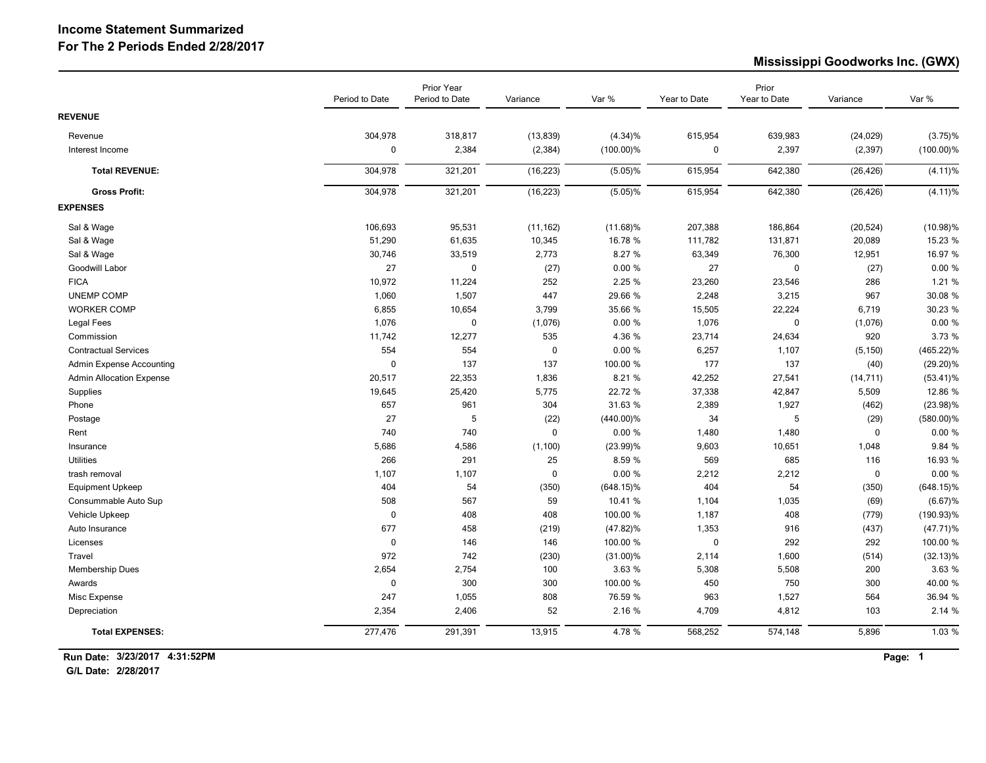## **Income Statement Summarized For The 2 Periods Ended 2/28/2017**

## **Mississippi Goodworks Inc. (GWX)**

|                                 | Period to Date | Prior Year<br>Period to Date | Variance    | Var %        | Year to Date | Prior<br>Year to Date | Variance  | Var %        |
|---------------------------------|----------------|------------------------------|-------------|--------------|--------------|-----------------------|-----------|--------------|
| <b>REVENUE</b>                  |                |                              |             |              |              |                       |           |              |
| Revenue                         | 304,978        | 318,817                      | (13, 839)   | $(4.34)\%$   | 615,954      | 639,983               | (24, 029) | (3.75)%      |
| Interest Income                 | $\mathbf 0$    | 2,384                        | (2, 384)    | $(100.00)\%$ | $\mathbf 0$  | 2,397                 | (2, 397)  | $(100.00)\%$ |
| <b>Total REVENUE:</b>           | 304,978        | 321,201                      | (16, 223)   | (5.05)%      | 615,954      | 642,380               | (26, 426) | (4.11)%      |
| <b>Gross Profit:</b>            | 304,978        | 321,201                      | (16, 223)   | $(5.05)\%$   | 615,954      | 642,380               | (26, 426) | (4.11)%      |
| <b>EXPENSES</b>                 |                |                              |             |              |              |                       |           |              |
| Sal & Wage                      | 106,693        | 95,531                       | (11, 162)   | $(11.68)\%$  | 207,388      | 186,864               | (20, 524) | $(10.98)\%$  |
| Sal & Wage                      | 51,290         | 61,635                       | 10,345      | 16.78 %      | 111,782      | 131,871               | 20,089    | 15.23 %      |
| Sal & Wage                      | 30,746         | 33,519                       | 2,773       | 8.27 %       | 63,349       | 76,300                | 12,951    | 16.97 %      |
| Goodwill Labor                  | 27             | $\pmb{0}$                    | (27)        | $0.00 \%$    | 27           | $\pmb{0}$             | (27)      | 0.00%        |
| <b>FICA</b>                     | 10,972         | 11,224                       | 252         | 2.25 %       | 23,260       | 23,546                | 286       | 1.21 %       |
| <b>UNEMP COMP</b>               | 1,060          | 1,507                        | 447         | 29.66 %      | 2,248        | 3,215                 | 967       | 30.08 %      |
| <b>WORKER COMP</b>              | 6,855          | 10,654                       | 3,799       | 35.66 %      | 15,505       | 22,224                | 6,719     | 30.23 %      |
| <b>Legal Fees</b>               | 1,076          | $\theta$                     | (1,076)     | 0.00%        | 1,076        | $\mathbf 0$           | (1,076)   | 0.00%        |
| Commission                      | 11,742         | 12,277                       | 535         | 4.36 %       | 23,714       | 24,634                | 920       | 3.73 %       |
| <b>Contractual Services</b>     | 554            | 554                          | $\pmb{0}$   | 0.00%        | 6,257        | 1,107                 | (5, 150)  | $(465.22)\%$ |
| Admin Expense Accounting        | $\mathbf 0$    | 137                          | 137         | 100.00 %     | 177          | 137                   | (40)      | $(29.20)\%$  |
| <b>Admin Allocation Expense</b> | 20,517         | 22,353                       | 1,836       | 8.21 %       | 42,252       | 27,541                | (14, 711) | $(53.41)\%$  |
| Supplies                        | 19,645         | 25,420                       | 5,775       | 22.72 %      | 37,338       | 42,847                | 5,509     | 12.86 %      |
| Phone                           | 657            | 961                          | 304         | 31.63 %      | 2,389        | 1,927                 | (462)     | $(23.98)\%$  |
| Postage                         | 27             | 5                            | (22)        | $(440.00)\%$ | 34           | 5                     | (29)      | $(580.00)\%$ |
| Rent                            | 740            | 740                          | $\mathbf 0$ | 0.00%        | 1,480        | 1,480                 | 0         | 0.00%        |
| Insurance                       | 5,686          | 4,586                        | (1, 100)    | (23.99)%     | 9,603        | 10,651                | 1,048     | 9.84 %       |
| Utilities                       | 266            | 291                          | 25          | 8.59 %       | 569          | 685                   | 116       | 16.93 %      |
| trash removal                   | 1,107          | 1,107                        | $\mathbf 0$ | 0.00%        | 2,212        | 2,212                 | 0         | 0.00%        |
| <b>Equipment Upkeep</b>         | 404            | 54                           | (350)       | $(648.15)\%$ | 404          | 54                    | (350)     | $(648.15)\%$ |
| Consummable Auto Sup            | 508            | 567                          | 59          | 10.41 %      | 1,104        | 1,035                 | (69)      | (6.67)%      |
| Vehicle Upkeep                  | $\Omega$       | 408                          | 408         | 100.00 %     | 1,187        | 408                   | (779)     | $(190.93)\%$ |
| Auto Insurance                  | 677            | 458                          | (219)       | $(47.82)\%$  | 1,353        | 916                   | (437)     | $(47.71)\%$  |
| Licenses                        | $\mathbf 0$    | 146                          | 146         | 100.00 %     | $\mathbf 0$  | 292                   | 292       | 100.00 %     |
| Travel                          | 972            | 742                          | (230)       | $(31.00)\%$  | 2,114        | 1,600                 | (514)     | $(32.13)\%$  |
| <b>Membership Dues</b>          | 2,654          | 2,754                        | 100         | 3.63 %       | 5,308        | 5,508                 | 200       | 3.63 %       |
| Awards                          | $\pmb{0}$      | 300                          | 300         | 100.00 %     | 450          | 750                   | 300       | 40.00 %      |
| Misc Expense                    | 247            | 1,055                        | 808         | 76.59 %      | 963          | 1,527                 | 564       | 36.94 %      |
| Depreciation                    | 2,354          | 2,406                        | 52          | 2.16 %       | 4,709        | 4,812                 | 103       | 2.14 %       |
| <b>Total EXPENSES:</b>          | 277,476        | 291,391                      | 13,915      | 4.78%        | 568,252      | 574,148               | 5,896     | 1.03%        |

**Run Date: 3/23/2017 4:31:52PM Page: 1**

**G/L Date: 2/28/2017**